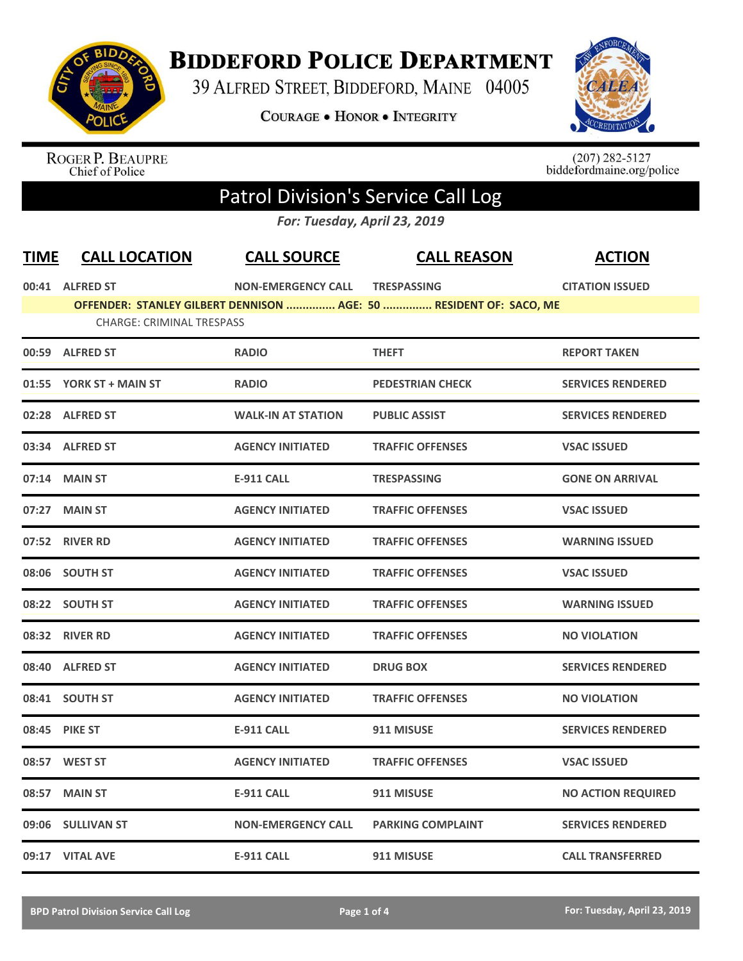

## **BIDDEFORD POLICE DEPARTMENT**

39 ALFRED STREET, BIDDEFORD, MAINE 04005

**COURAGE . HONOR . INTEGRITY** 



ROGER P. BEAUPRE<br>Chief of Police

 $(207)$  282-5127<br>biddefordmaine.org/police

## Patrol Division's Service Call Log

*For: Tuesday, April 23, 2019*

| <b>TIME</b> | <b>CALL LOCATION</b>             | <b>CALL SOURCE</b>        | <b>CALL REASON</b>                                                 | <b>ACTION</b>             |
|-------------|----------------------------------|---------------------------|--------------------------------------------------------------------|---------------------------|
|             | 00:41 ALFRED ST                  | <b>NON-EMERGENCY CALL</b> | <b>TRESPASSING</b>                                                 | <b>CITATION ISSUED</b>    |
|             | <b>CHARGE: CRIMINAL TRESPASS</b> |                           | OFFENDER: STANLEY GILBERT DENNISON  AGE: 50  RESIDENT OF: SACO, ME |                           |
|             | 00:59 ALFRED ST                  | <b>RADIO</b>              | <b>THEFT</b>                                                       | <b>REPORT TAKEN</b>       |
|             | 01:55 YORK ST + MAIN ST          | <b>RADIO</b>              | <b>PEDESTRIAN CHECK</b>                                            | <b>SERVICES RENDERED</b>  |
|             | 02:28 ALFRED ST                  | <b>WALK-IN AT STATION</b> | <b>PUBLIC ASSIST</b>                                               | <b>SERVICES RENDERED</b>  |
|             | 03:34 ALFRED ST                  | <b>AGENCY INITIATED</b>   | <b>TRAFFIC OFFENSES</b>                                            | <b>VSAC ISSUED</b>        |
|             | 07:14 MAIN ST                    | <b>E-911 CALL</b>         | <b>TRESPASSING</b>                                                 | <b>GONE ON ARRIVAL</b>    |
|             | 07:27 MAIN ST                    | <b>AGENCY INITIATED</b>   | <b>TRAFFIC OFFENSES</b>                                            | <b>VSAC ISSUED</b>        |
|             | 07:52 RIVER RD                   | <b>AGENCY INITIATED</b>   | <b>TRAFFIC OFFENSES</b>                                            | <b>WARNING ISSUED</b>     |
|             | 08:06 SOUTH ST                   | <b>AGENCY INITIATED</b>   | <b>TRAFFIC OFFENSES</b>                                            | <b>VSAC ISSUED</b>        |
|             | 08:22 SOUTH ST                   | <b>AGENCY INITIATED</b>   | <b>TRAFFIC OFFENSES</b>                                            | <b>WARNING ISSUED</b>     |
|             | 08:32 RIVER RD                   | <b>AGENCY INITIATED</b>   | <b>TRAFFIC OFFENSES</b>                                            | <b>NO VIOLATION</b>       |
|             | 08:40 ALFRED ST                  | <b>AGENCY INITIATED</b>   | <b>DRUG BOX</b>                                                    | <b>SERVICES RENDERED</b>  |
|             | 08:41 SOUTH ST                   | <b>AGENCY INITIATED</b>   | <b>TRAFFIC OFFENSES</b>                                            | <b>NO VIOLATION</b>       |
|             | 08:45 PIKE ST                    | <b>E-911 CALL</b>         | 911 MISUSE                                                         | <b>SERVICES RENDERED</b>  |
|             | 08:57 WEST ST                    | <b>AGENCY INITIATED</b>   | <b>TRAFFIC OFFENSES</b>                                            | <b>VSAC ISSUED</b>        |
|             | 08:57 MAIN ST                    | <b>E-911 CALL</b>         | 911 MISUSE                                                         | <b>NO ACTION REQUIRED</b> |
|             | 09:06 SULLIVAN ST                | <b>NON-EMERGENCY CALL</b> | <b>PARKING COMPLAINT</b>                                           | <b>SERVICES RENDERED</b>  |
|             | 09:17 VITAL AVE                  | <b>E-911 CALL</b>         | 911 MISUSE                                                         | <b>CALL TRANSFERRED</b>   |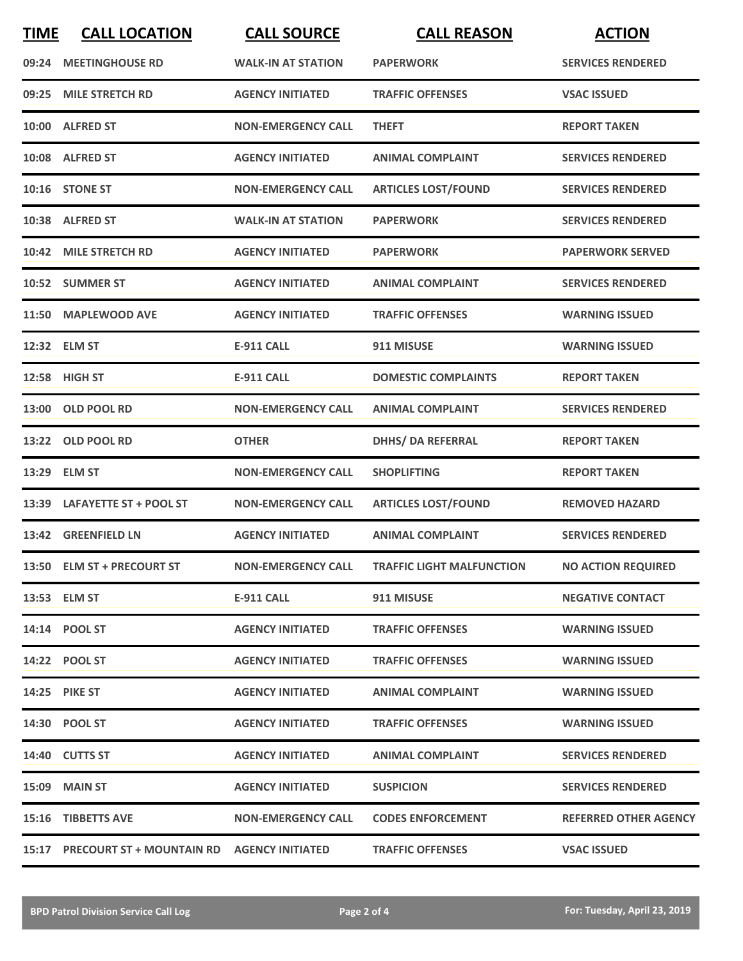| <b>TIME</b> | <b>CALL LOCATION</b>                             | <b>CALL SOURCE</b>        | <b>CALL REASON</b>               | <b>ACTION</b>                |
|-------------|--------------------------------------------------|---------------------------|----------------------------------|------------------------------|
|             | 09:24 MEETINGHOUSE RD                            | <b>WALK-IN AT STATION</b> | <b>PAPERWORK</b>                 | <b>SERVICES RENDERED</b>     |
| 09:25       | <b>MILE STRETCH RD</b>                           | <b>AGENCY INITIATED</b>   | <b>TRAFFIC OFFENSES</b>          | <b>VSAC ISSUED</b>           |
|             | 10:00 ALFRED ST                                  | <b>NON-EMERGENCY CALL</b> | <b>THEFT</b>                     | <b>REPORT TAKEN</b>          |
|             | 10:08 ALFRED ST                                  | <b>AGENCY INITIATED</b>   | <b>ANIMAL COMPLAINT</b>          | <b>SERVICES RENDERED</b>     |
|             | 10:16 STONE ST                                   | <b>NON-EMERGENCY CALL</b> | <b>ARTICLES LOST/FOUND</b>       | <b>SERVICES RENDERED</b>     |
|             | 10:38 ALFRED ST                                  | <b>WALK-IN AT STATION</b> | <b>PAPERWORK</b>                 | <b>SERVICES RENDERED</b>     |
|             | 10:42 MILE STRETCH RD                            | <b>AGENCY INITIATED</b>   | <b>PAPERWORK</b>                 | <b>PAPERWORK SERVED</b>      |
|             | 10:52 SUMMER ST                                  | <b>AGENCY INITIATED</b>   | <b>ANIMAL COMPLAINT</b>          | <b>SERVICES RENDERED</b>     |
|             | 11:50 MAPLEWOOD AVE                              | <b>AGENCY INITIATED</b>   | <b>TRAFFIC OFFENSES</b>          | <b>WARNING ISSUED</b>        |
|             | 12:32 ELM ST                                     | <b>E-911 CALL</b>         | 911 MISUSE                       | <b>WARNING ISSUED</b>        |
|             | 12:58 HIGH ST                                    | <b>E-911 CALL</b>         | <b>DOMESTIC COMPLAINTS</b>       | <b>REPORT TAKEN</b>          |
|             | 13:00 OLD POOL RD                                | <b>NON-EMERGENCY CALL</b> | <b>ANIMAL COMPLAINT</b>          | <b>SERVICES RENDERED</b>     |
| 13:22       | <b>OLD POOL RD</b>                               | <b>OTHER</b>              | <b>DHHS/ DA REFERRAL</b>         | <b>REPORT TAKEN</b>          |
|             | 13:29 ELM ST                                     | <b>NON-EMERGENCY CALL</b> | <b>SHOPLIFTING</b>               | <b>REPORT TAKEN</b>          |
|             | 13:39 LAFAYETTE ST + POOL ST                     | <b>NON-EMERGENCY CALL</b> | <b>ARTICLES LOST/FOUND</b>       | <b>REMOVED HAZARD</b>        |
|             | 13:42 GREENFIELD LN                              | <b>AGENCY INITIATED</b>   | <b>ANIMAL COMPLAINT</b>          | <b>SERVICES RENDERED</b>     |
|             | 13:50 ELM ST + PRECOURT ST                       | <b>NON-EMERGENCY CALL</b> | <b>TRAFFIC LIGHT MALFUNCTION</b> | <b>NO ACTION REQUIRED</b>    |
|             | 13:53 ELM ST                                     | <b>E-911 CALL</b>         | 911 MISUSE                       | <b>NEGATIVE CONTACT</b>      |
|             | 14:14 POOL ST                                    | <b>AGENCY INITIATED</b>   | <b>TRAFFIC OFFENSES</b>          | <b>WARNING ISSUED</b>        |
|             | 14:22 POOL ST                                    | <b>AGENCY INITIATED</b>   | <b>TRAFFIC OFFENSES</b>          | <b>WARNING ISSUED</b>        |
|             | <b>14:25 PIKE ST</b>                             | <b>AGENCY INITIATED</b>   | <b>ANIMAL COMPLAINT</b>          | <b>WARNING ISSUED</b>        |
|             | 14:30 POOL ST                                    | <b>AGENCY INITIATED</b>   | <b>TRAFFIC OFFENSES</b>          | <b>WARNING ISSUED</b>        |
|             | 14:40 CUTTS ST                                   | <b>AGENCY INITIATED</b>   | <b>ANIMAL COMPLAINT</b>          | <b>SERVICES RENDERED</b>     |
|             | <b>15:09 MAIN ST</b>                             | <b>AGENCY INITIATED</b>   | <b>SUSPICION</b>                 | <b>SERVICES RENDERED</b>     |
|             | 15:16 TIBBETTS AVE                               | <b>NON-EMERGENCY CALL</b> | <b>CODES ENFORCEMENT</b>         | <b>REFERRED OTHER AGENCY</b> |
|             | 15:17 PRECOURT ST + MOUNTAIN RD AGENCY INITIATED |                           | <b>TRAFFIC OFFENSES</b>          | <b>VSAC ISSUED</b>           |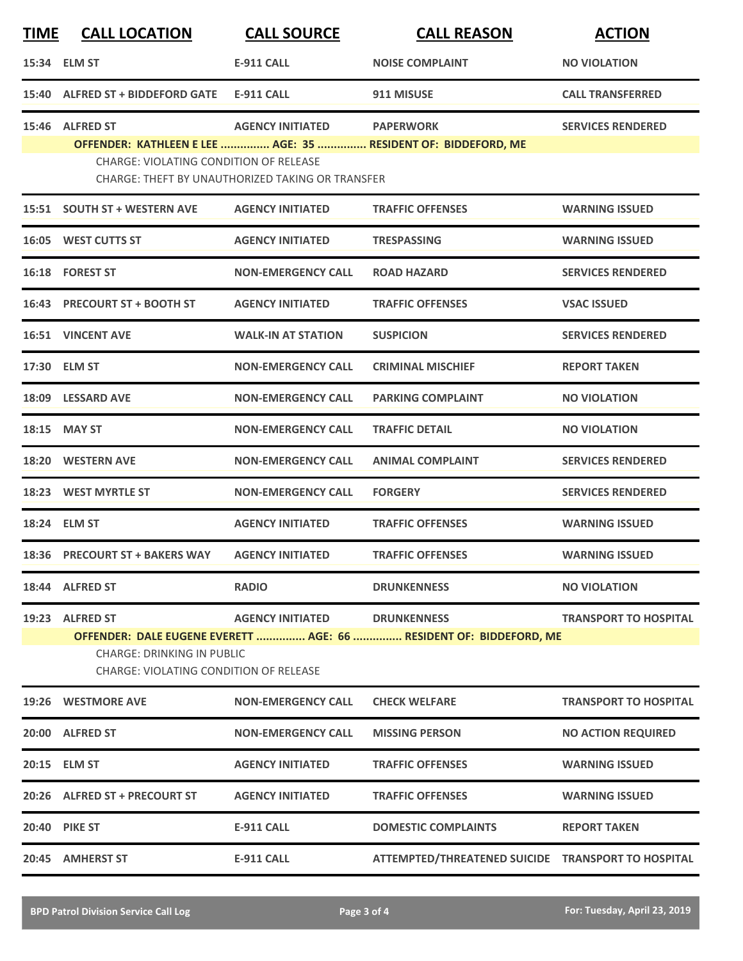| <b>TIME</b> | <b>CALL LOCATION</b>                                                               | <b>CALL SOURCE</b>                               | <b>CALL REASON</b>                                            | <b>ACTION</b>                |  |
|-------------|------------------------------------------------------------------------------------|--------------------------------------------------|---------------------------------------------------------------|------------------------------|--|
|             | 15:34 ELM ST                                                                       | <b>E-911 CALL</b>                                | <b>NOISE COMPLAINT</b>                                        | <b>NO VIOLATION</b>          |  |
|             | 15:40 ALFRED ST + BIDDEFORD GATE                                                   | <b>E-911 CALL</b>                                | 911 MISUSE                                                    | <b>CALL TRANSFERRED</b>      |  |
|             | 15:46 ALFRED ST                                                                    | <b>AGENCY INITIATED</b>                          | <b>PAPERWORK</b>                                              | <b>SERVICES RENDERED</b>     |  |
|             |                                                                                    |                                                  | OFFENDER: KATHLEEN E LEE  AGE: 35  RESIDENT OF: BIDDEFORD, ME |                              |  |
|             | <b>CHARGE: VIOLATING CONDITION OF RELEASE</b>                                      | CHARGE: THEFT BY UNAUTHORIZED TAKING OR TRANSFER |                                                               |                              |  |
|             | 15:51 SOUTH ST + WESTERN AVE                                                       | <b>AGENCY INITIATED</b>                          | <b>TRAFFIC OFFENSES</b>                                       | <b>WARNING ISSUED</b>        |  |
|             | 16:05 WEST CUTTS ST                                                                | <b>AGENCY INITIATED</b>                          | <b>TRESPASSING</b>                                            | <b>WARNING ISSUED</b>        |  |
|             | 16:18 FOREST ST                                                                    | <b>NON-EMERGENCY CALL</b>                        | <b>ROAD HAZARD</b>                                            | <b>SERVICES RENDERED</b>     |  |
|             | 16:43 PRECOURT ST + BOOTH ST                                                       | <b>AGENCY INITIATED</b>                          | <b>TRAFFIC OFFENSES</b>                                       | <b>VSAC ISSUED</b>           |  |
|             | <b>16:51 VINCENT AVE</b>                                                           | <b>WALK-IN AT STATION</b>                        | <b>SUSPICION</b>                                              | <b>SERVICES RENDERED</b>     |  |
|             | 17:30 ELM ST                                                                       | <b>NON-EMERGENCY CALL</b>                        | <b>CRIMINAL MISCHIEF</b>                                      | <b>REPORT TAKEN</b>          |  |
|             | 18:09 LESSARD AVE                                                                  | <b>NON-EMERGENCY CALL</b>                        | <b>PARKING COMPLAINT</b>                                      | <b>NO VIOLATION</b>          |  |
|             | 18:15 MAY ST                                                                       | <b>NON-EMERGENCY CALL</b>                        | <b>TRAFFIC DETAIL</b>                                         | <b>NO VIOLATION</b>          |  |
|             | 18:20 WESTERN AVE                                                                  | <b>NON-EMERGENCY CALL</b>                        | <b>ANIMAL COMPLAINT</b>                                       | <b>SERVICES RENDERED</b>     |  |
|             | 18:23 WEST MYRTLE ST                                                               | <b>NON-EMERGENCY CALL</b>                        | <b>FORGERY</b>                                                | <b>SERVICES RENDERED</b>     |  |
|             | 18:24 ELM ST                                                                       | <b>AGENCY INITIATED</b>                          | <b>TRAFFIC OFFENSES</b>                                       | <b>WARNING ISSUED</b>        |  |
|             | 18:36 PRECOURT ST + BAKERS WAY                                                     | <b>AGENCY INITIATED</b>                          | <b>TRAFFIC OFFENSES</b>                                       | <b>WARNING ISSUED</b>        |  |
|             | 18:44 ALFRED ST                                                                    | <b>RADIO</b>                                     | <b>DRUNKENNESS</b>                                            | <b>NO VIOLATION</b>          |  |
|             | 19:23 ALFRED ST                                                                    | <b>AGENCY INITIATED</b>                          | <b>DRUNKENNESS</b>                                            | <b>TRANSPORT TO HOSPITAL</b> |  |
|             | OFFENDER: DALE EUGENE EVERETT  AGE: 66  RESIDENT OF: BIDDEFORD, ME                 |                                                  |                                                               |                              |  |
|             | <b>CHARGE: DRINKING IN PUBLIC</b><br><b>CHARGE: VIOLATING CONDITION OF RELEASE</b> |                                                  |                                                               |                              |  |
|             | 19:26 WESTMORE AVE                                                                 | <b>NON-EMERGENCY CALL</b>                        | <b>CHECK WELFARE</b>                                          | <b>TRANSPORT TO HOSPITAL</b> |  |
|             | 20:00 ALFRED ST                                                                    | <b>NON-EMERGENCY CALL</b>                        | <b>MISSING PERSON</b>                                         | <b>NO ACTION REQUIRED</b>    |  |
|             | 20:15 ELM ST                                                                       | <b>AGENCY INITIATED</b>                          | <b>TRAFFIC OFFENSES</b>                                       | <b>WARNING ISSUED</b>        |  |
|             | 20:26 ALFRED ST + PRECOURT ST                                                      | <b>AGENCY INITIATED</b>                          | <b>TRAFFIC OFFENSES</b>                                       | <b>WARNING ISSUED</b>        |  |
|             | <b>20:40 PIKE ST</b>                                                               | <b>E-911 CALL</b>                                | <b>DOMESTIC COMPLAINTS</b>                                    | <b>REPORT TAKEN</b>          |  |
|             | 20:45 AMHERST ST                                                                   | <b>E-911 CALL</b>                                | ATTEMPTED/THREATENED SUICIDE TRANSPORT TO HOSPITAL            |                              |  |